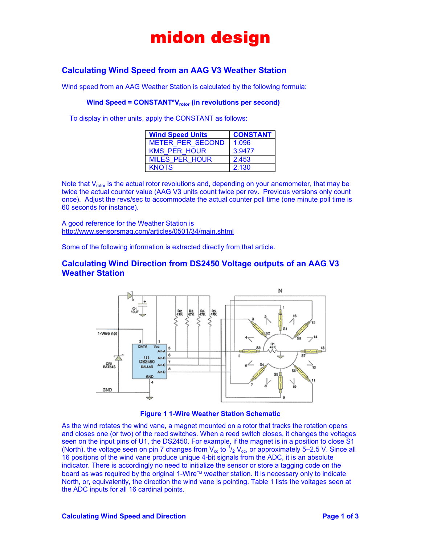## midon design

### **Calculating Wind Speed from an AAG V3 Weather Station**

Wind speed from an AAG Weather Station is calculated by the following formula:

#### Wind Speed = CONSTANT<sup>\*</sup>V<sub>rotor</sub> (in revolutions per second)

To display in other units, apply the CONSTANT as follows:

| <b>Wind Speed Units</b> | <b>CONSTANT</b> |
|-------------------------|-----------------|
| <b>METER PER SECOND</b> | 1.096           |
| <b>KMS PER HOUR</b>     | 3.9477          |
| <b>MILES PER HOUR</b>   | 2.453           |
| <b>KNOTS</b>            | 2.130           |

Note that  $V_{\text{rotor}}$  is the actual rotor revolutions and, depending on your anemometer, that may be twice the actual counter value (AAG V3 units count twice per rev. Previous versions only count once). Adjust the revs/sec to accommodate the actual counter poll time (one minute poll time is 60 seconds for instance).

A good reference for the Weather Station is <http://www.sensorsmag.com/articles/0501/34/main.shtml>

Some of the following information is extracted directly from that article.

#### **Calculating Wind Direction from DS2450 Voltage outputs of an AAG V3 Weather Station**



**Figure 1 1-Wire Weather Station Schematic** 

As the wind rotates the wind vane, a magnet mounted on a rotor that tracks the rotation opens and closes one (or two) of the reed switches. When a reed switch closes, it changes the voltages seen on the input pins of U1, the DS2450. For example, if the magnet is in a position to close S1 (North), the voltage seen on pin 7 changes from  $V_{cc}$  to  $1/2$   $V_{cc}$ , or approximately 5–2.5 V. Since all 16 positions of the wind vane produce unique 4-bit signals from the ADC, it is an absolute indicator. There is accordingly no need to initialize the sensor or store a tagging code on the board as was required by the original 1-Wire™ weather station. It is necessary only to indicate North, or, equivalently, the direction the wind vane is pointing. Table 1 lists the voltages seen at the ADC inputs for all 16 cardinal points.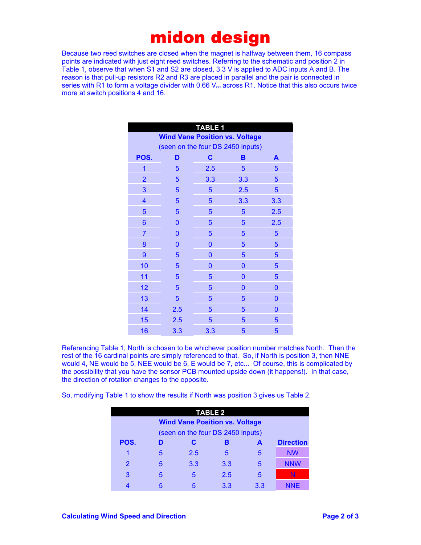### midon design

Because two reed switches are closed when the magnet is halfway between them, 16 compass points are indicated with just eight reed switches. Referring to the schematic and position 2 in Table 1, observe that when S1 and S2 are closed, 3.3 V is applied to ADC inputs A and B. The reason is that pull-up resistors R2 and R3 are placed in parallel and the pair is connected in series with R1 to form a voltage divider with 0.66  $V_{\text{cc}}$  across R1. Notice that this also occurs twice more at switch positions 4 and 16.

| <b>TABLE 1</b>                        |          |             |              |                |  |
|---------------------------------------|----------|-------------|--------------|----------------|--|
| <b>Wind Vane Position vs. Voltage</b> |          |             |              |                |  |
| (seen on the four DS 2450 inputs)     |          |             |              |                |  |
| POS.                                  | D        | $\mathbf c$ | в            | A              |  |
| $\overline{1}$                        | 5        | 2.5         | 5            | 5              |  |
| $\overline{2}$                        | 5        | 3.3         | 3.3          | 5              |  |
| 3                                     | 5        | 5           | 2.5          | 5              |  |
| $\overline{\mathbf{4}}$               | 5        | 5           | 3.3          | 3.3            |  |
| 5                                     | 5        | 5           | 5            | 2.5            |  |
| 6                                     | $\Omega$ | 5           | 5            | 2.5            |  |
| $\overline{7}$                        | 0        | 5           | 5            | 5              |  |
| 8                                     | $\Omega$ | 0           | 5            | 5              |  |
| $\overline{9}$                        | 5        | 0           | 5            | 5              |  |
| 10                                    | 5        | 0           | 0            | 5              |  |
| 11                                    | 5        | 5           | $\mathbf{0}$ | 5              |  |
| 12                                    | 5        | 5           | 0            | $\overline{0}$ |  |
| 13                                    | 5        | 5           | 5            | 0              |  |
| 14                                    | 2.5      | 5           | 5            | 0              |  |
| 15                                    | 2.5      | 5           | 5            | 5              |  |
| 16                                    | 3.3      | 3.3         | 5            | 5              |  |

Referencing Table 1, North is chosen to be whichever position number matches North. Then the rest of the 16 cardinal points are simply referenced to that. So, if North is position 3, then NNE would 4, NE would be 5, NEE would be 6, E would be 7, etc... Of course, this is complicated by the possibility that you have the sensor PCB mounted upside down (it happens!). In that case, the direction of rotation changes to the opposite.

So, modifying Table 1 to show the results if North was position 3 gives us Table 2.

| <b>TABLE 2</b>                        |   |     |     |     |                  |
|---------------------------------------|---|-----|-----|-----|------------------|
| <b>Wind Vane Position vs. Voltage</b> |   |     |     |     |                  |
| (seen on the four DS 2450 inputs)     |   |     |     |     |                  |
| POS.                                  | D | C   | В   | A   | <b>Direction</b> |
|                                       | 5 | 2.5 | 5   | 5   | <b>NW</b>        |
| $\overline{2}$                        | 5 | 3.3 | 3.3 | 5   | <b>NNW</b>       |
| 3                                     | 5 | 5   | 2.5 | 5   | N                |
|                                       | 5 |     | 3.3 | 3.3 | <b>NNE</b>       |